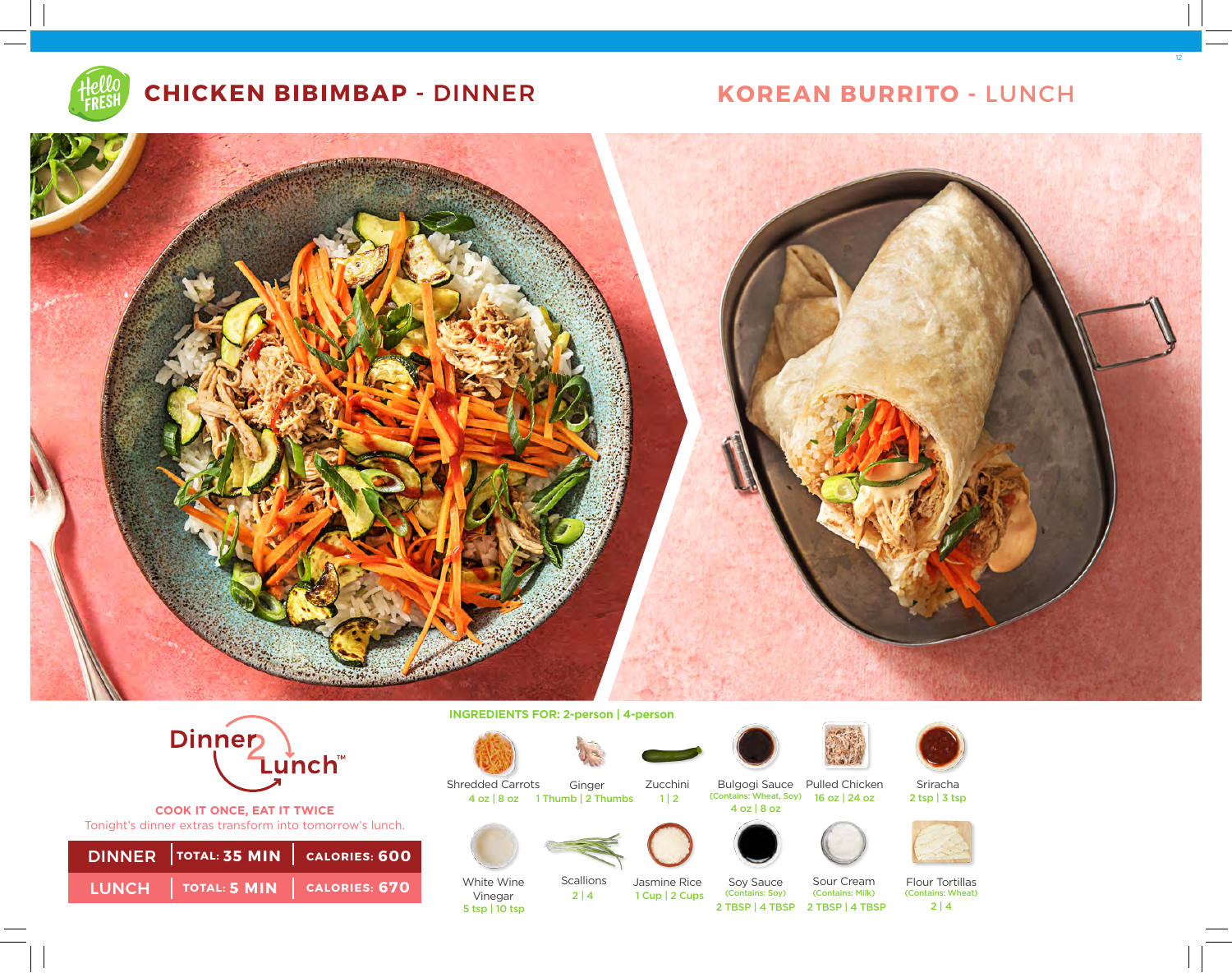

# **CHICKEN BIBIMBAP -** DINNER **KOREAN BURRITO -** LUNCH

12





**COOK IT ONCE, EAT IT TWICE**  Tonight's dinner extras transform into tomorrow's lunch.

| DINNER TOTAL: 35 MIN   CALORIES: 600 |  |
|--------------------------------------|--|
| LUNCH TOTAL: 5 MIN CALORIES: 670     |  |

**INGREDIENTS FOR: 2-person | 4-person** 

4 oz | 8 oz 1 Thumb | 2 Thumbs 1 | 2

Ginger



Shredded Carrots

White Wine Vinegar

5 tsp | 10 tsp









Zucchini Bulgogi Sauce Pulled Chicken (Contains: Wheat, Soy) 16 oz | 24 oz 4 oz | 8 oz









1 Cup | 2 Cups Scallions 2 | 4

Jasmine Rice Soy Sauce (Contains: Soy)

Sour Cream (Contains: Milk) 2 TBSP | 4 TBSP 2 TBSP | 4 TBSP

Flour Tortillas (Contains: Wheat)  $2 | 4$